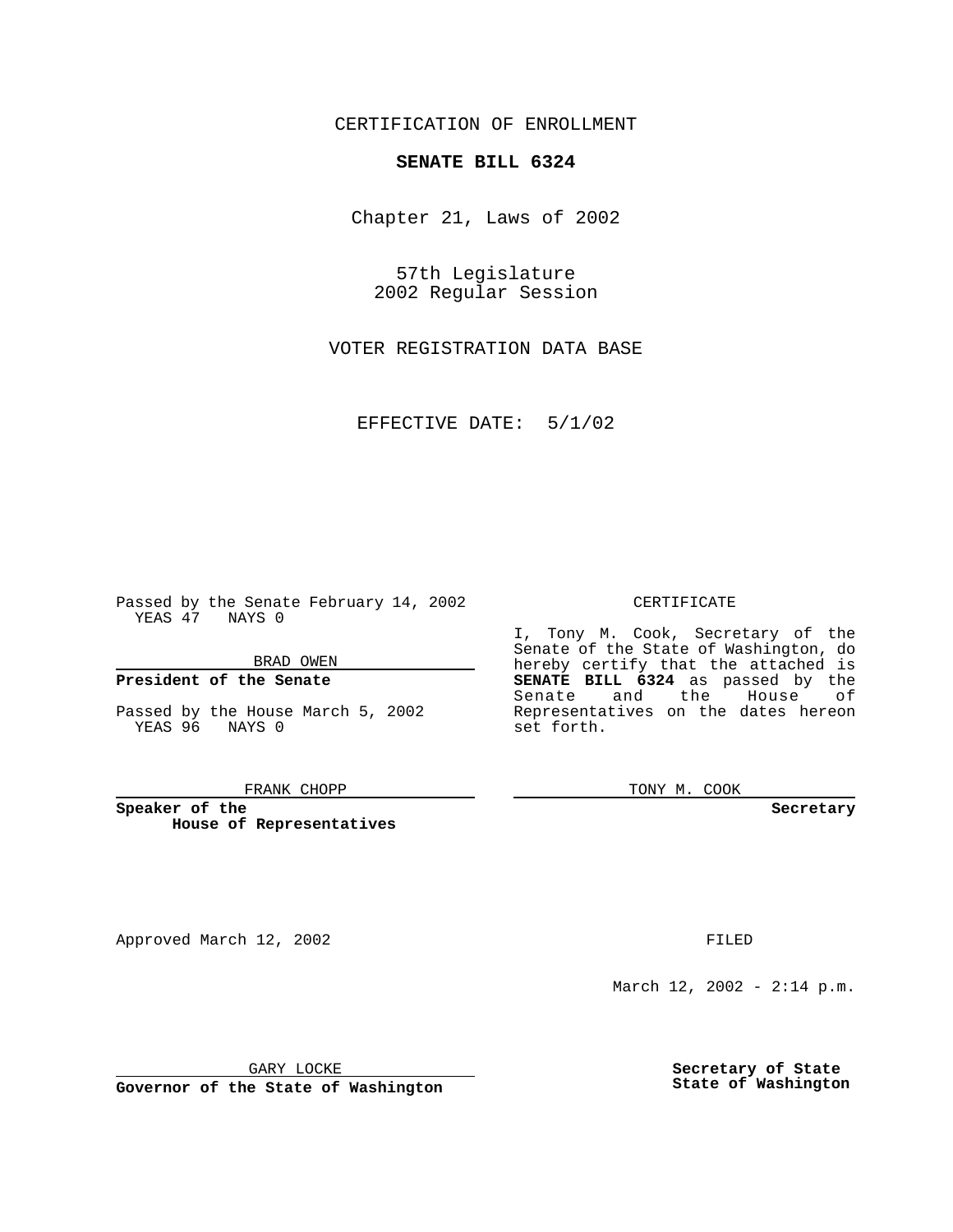CERTIFICATION OF ENROLLMENT

## **SENATE BILL 6324**

Chapter 21, Laws of 2002

57th Legislature 2002 Regular Session

VOTER REGISTRATION DATA BASE

EFFECTIVE DATE: 5/1/02

Passed by the Senate February 14, 2002 YEAS 47 NAYS 0

BRAD OWEN

### **President of the Senate**

Passed by the House March 5, 2002 YEAS 96 NAYS 0

#### FRANK CHOPP

**Speaker of the House of Representatives**

Approved March 12, 2002 **FILED** 

#### CERTIFICATE

I, Tony M. Cook, Secretary of the Senate of the State of Washington, do hereby certify that the attached is **SENATE BILL 6324** as passed by the Senate and the House of Representatives on the dates hereon set forth.

TONY M. COOK

**Secretary**

March 12, 2002 - 2:14 p.m.

GARY LOCKE

**Governor of the State of Washington**

**Secretary of State State of Washington**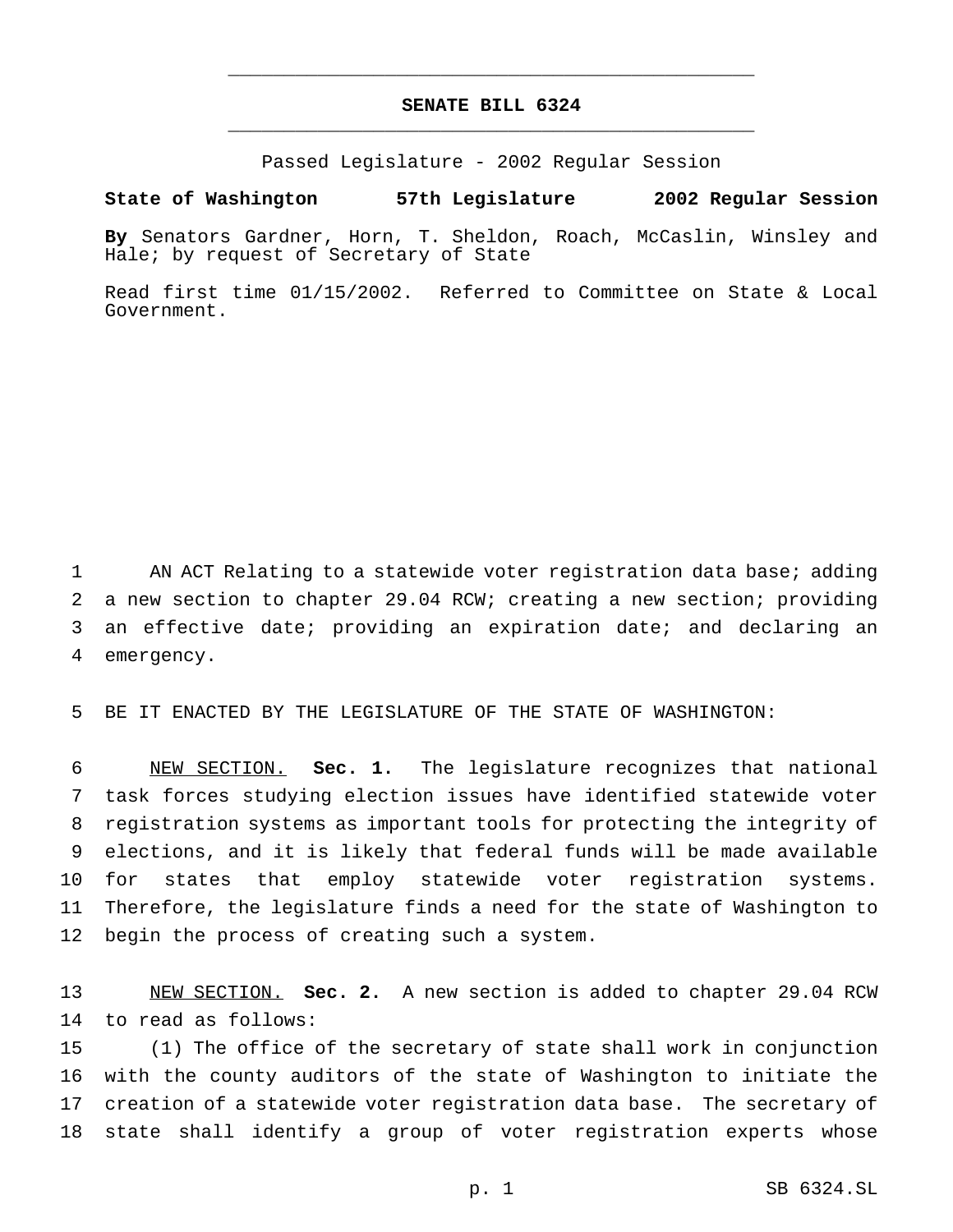# **SENATE BILL 6324** \_\_\_\_\_\_\_\_\_\_\_\_\_\_\_\_\_\_\_\_\_\_\_\_\_\_\_\_\_\_\_\_\_\_\_\_\_\_\_\_\_\_\_\_\_\_\_

\_\_\_\_\_\_\_\_\_\_\_\_\_\_\_\_\_\_\_\_\_\_\_\_\_\_\_\_\_\_\_\_\_\_\_\_\_\_\_\_\_\_\_\_\_\_\_

Passed Legislature - 2002 Regular Session

### **State of Washington 57th Legislature 2002 Regular Session**

**By** Senators Gardner, Horn, T. Sheldon, Roach, McCaslin, Winsley and Hale; by request of Secretary of State

Read first time 01/15/2002. Referred to Committee on State & Local Government.

 AN ACT Relating to a statewide voter registration data base; adding a new section to chapter 29.04 RCW; creating a new section; providing an effective date; providing an expiration date; and declaring an emergency.

BE IT ENACTED BY THE LEGISLATURE OF THE STATE OF WASHINGTON:

 NEW SECTION. **Sec. 1.** The legislature recognizes that national task forces studying election issues have identified statewide voter registration systems as important tools for protecting the integrity of elections, and it is likely that federal funds will be made available for states that employ statewide voter registration systems. Therefore, the legislature finds a need for the state of Washington to begin the process of creating such a system.

 NEW SECTION. **Sec. 2.** A new section is added to chapter 29.04 RCW to read as follows:

 (1) The office of the secretary of state shall work in conjunction with the county auditors of the state of Washington to initiate the creation of a statewide voter registration data base. The secretary of state shall identify a group of voter registration experts whose